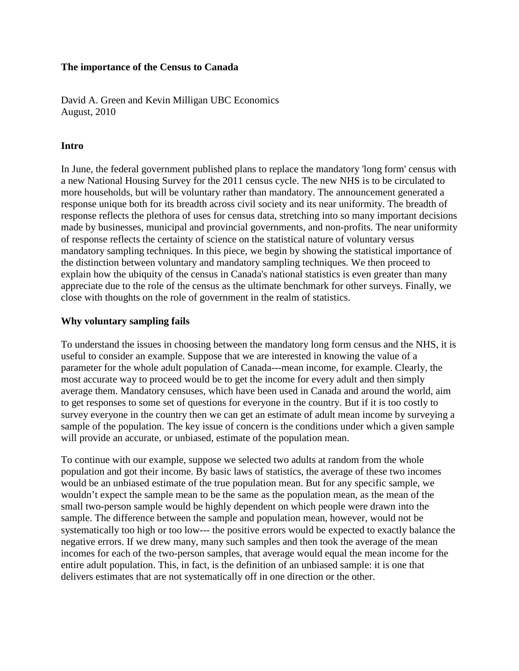#### **The importance of the Census to Canada**

David A. Green and Kevin Milligan UBC Economics August, 2010

### **Intro**

In June, the federal government published plans to replace the mandatory 'long form' census with a new National Housing Survey for the 2011 census cycle. The new NHS is to be circulated to more households, but will be voluntary rather than mandatory. The announcement generated a response unique both for its breadth across civil society and its near uniformity. The breadth of response reflects the plethora of uses for census data, stretching into so many important decisions made by businesses, municipal and provincial governments, and non-profits. The near uniformity of response reflects the certainty of science on the statistical nature of voluntary versus mandatory sampling techniques. In this piece, we begin by showing the statistical importance of the distinction between voluntary and mandatory sampling techniques. We then proceed to explain how the ubiquity of the census in Canada's national statistics is even greater than many appreciate due to the role of the census as the ultimate benchmark for other surveys. Finally, we close with thoughts on the role of government in the realm of statistics.

### **Why voluntary sampling fails**

To understand the issues in choosing between the mandatory long form census and the NHS, it is useful to consider an example. Suppose that we are interested in knowing the value of a parameter for the whole adult population of Canada---mean income, for example. Clearly, the most accurate way to proceed would be to get the income for every adult and then simply average them. Mandatory censuses, which have been used in Canada and around the world, aim to get responses to some set of questions for everyone in the country. But if it is too costly to survey everyone in the country then we can get an estimate of adult mean income by surveying a sample of the population. The key issue of concern is the conditions under which a given sample will provide an accurate, or unbiased, estimate of the population mean.

To continue with our example, suppose we selected two adults at random from the whole population and got their income. By basic laws of statistics, the average of these two incomes would be an unbiased estimate of the true population mean. But for any specific sample, we wouldn't expect the sample mean to be the same as the population mean, as the mean of the small two-person sample would be highly dependent on which people were drawn into the sample. The difference between the sample and population mean, however, would not be systematically too high or too low--- the positive errors would be expected to exactly balance the negative errors. If we drew many, many such samples and then took the average of the mean incomes for each of the two-person samples, that average would equal the mean income for the entire adult population. This, in fact, is the definition of an unbiased sample: it is one that delivers estimates that are not systematically off in one direction or the other.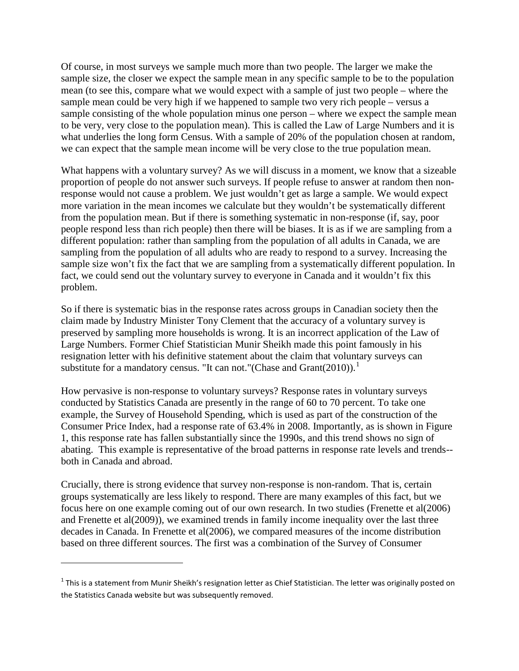Of course, in most surveys we sample much more than two people. The larger we make the sample size, the closer we expect the sample mean in any specific sample to be to the population mean (to see this, compare what we would expect with a sample of just two people – where the sample mean could be very high if we happened to sample two very rich people – versus a sample consisting of the whole population minus one person – where we expect the sample mean to be very, very close to the population mean). This is called the Law of Large Numbers and it is what underlies the long form Census. With a sample of 20% of the population chosen at random, we can expect that the sample mean income will be very close to the true population mean.

What happens with a voluntary survey? As we will discuss in a moment, we know that a sizeable proportion of people do not answer such surveys. If people refuse to answer at random then nonresponse would not cause a problem. We just wouldn't get as large a sample. We would expect more variation in the mean incomes we calculate but they wouldn't be systematically different from the population mean. But if there is something systematic in non-response (if, say, poor people respond less than rich people) then there will be biases. It is as if we are sampling from a different population: rather than sampling from the population of all adults in Canada, we are sampling from the population of all adults who are ready to respond to a survey. Increasing the sample size won't fix the fact that we are sampling from a systematically different population. In fact, we could send out the voluntary survey to everyone in Canada and it wouldn't fix this problem.

So if there is systematic bias in the response rates across groups in Canadian society then the claim made by Industry Minister Tony Clement that the accuracy of a voluntary survey is preserved by sampling more households is wrong. It is an incorrect application of the Law of Large Numbers. Former Chief Statistician Munir Sheikh made this point famously in his resignation letter with his definitive statement about the claim that voluntary surveys can substitute for a mandatory census. "It can not." (Chase and Grant $(2010)$  $(2010)$  $(2010)$ ).<sup>1</sup>

How pervasive is non-response to voluntary surveys? Response rates in voluntary surveys conducted by Statistics Canada are presently in the range of 60 to 70 percent. To take one example, the Survey of Household Spending, which is used as part of the construction of the Consumer Price Index, had a response rate of 63.4% in 2008. Importantly, as is shown in Figure 1, this response rate has fallen substantially since the 1990s, and this trend shows no sign of abating. This example is representative of the broad patterns in response rate levels and trends- both in Canada and abroad.

Crucially, there is strong evidence that survey non-response is non-random. That is, certain groups systematically are less likely to respond. There are many examples of this fact, but we focus here on one example coming out of our own research. In two studies (Frenette et al(2006) and Frenette et al(2009)), we examined trends in family income inequality over the last three decades in Canada. In Frenette et al(2006), we compared measures of the income distribution based on three different sources. The first was a combination of the Survey of Consumer

 $\overline{\phantom{0}}$ 

<span id="page-1-0"></span> $1$  This is a statement from Munir Sheikh's resignation letter as Chief Statistician. The letter was originally posted on the Statistics Canada website but was subsequently removed.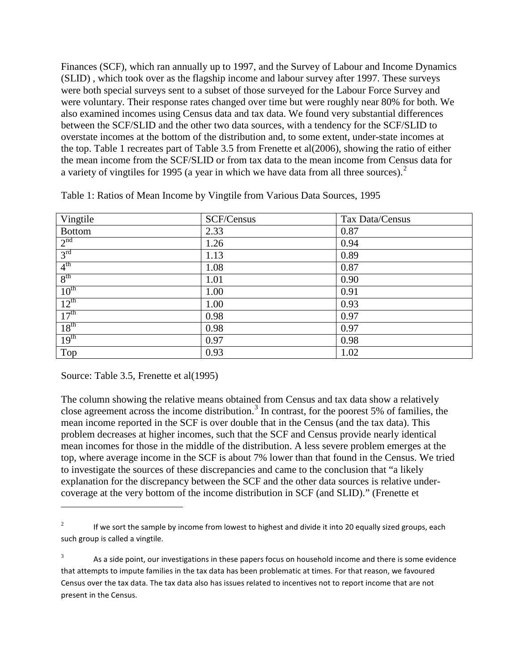Finances (SCF), which ran annually up to 1997, and the Survey of Labour and Income Dynamics (SLID) , which took over as the flagship income and labour survey after 1997. These surveys were both special surveys sent to a subset of those surveyed for the Labour Force Survey and were voluntary. Their response rates changed over time but were roughly near 80% for both. We also examined incomes using Census data and tax data. We found very substantial differences between the SCF/SLID and the other two data sources, with a tendency for the SCF/SLID to overstate incomes at the bottom of the distribution and, to some extent, under-state incomes at the top. Table 1 recreates part of Table 3.5 from Frenette et al(2006), showing the ratio of either the mean income from the SCF/SLID or from tax data to the mean income from Census data for a variety of vingtiles for 1995 (a year in which we have data from all three sources). $2^2$  $2^2$ 

| Vingtile         | SCF/Census | Tax Data/Census |
|------------------|------------|-----------------|
| <b>Bottom</b>    | 2.33       | 0.87            |
| 2 <sup>nd</sup>  | 1.26       | 0.94            |
| 3 <sup>rd</sup>  | 1.13       | 0.89            |
| 4 <sup>th</sup>  | 1.08       | 0.87            |
| 8 <sup>th</sup>  | 1.01       | 0.90            |
| 10 <sup>th</sup> | 1.00       | 0.91            |
| $12^{th}$        | 1.00       | 0.93            |
| 17 <sup>th</sup> | 0.98       | 0.97            |
| 18 <sup>th</sup> | 0.98       | 0.97            |
| 19 <sup>th</sup> | 0.97       | 0.98            |
| Top              | 0.93       | 1.02            |

Table 1: Ratios of Mean Income by Vingtile from Various Data Sources, 1995

Source: Table 3.5, Frenette et al(1995)

l

The column showing the relative means obtained from Census and tax data show a relatively close agreement across the income distribution.<sup>[3](#page-2-1)</sup> In contrast, for the poorest 5% of families, the mean income reported in the SCF is over double that in the Census (and the tax data). This problem decreases at higher incomes, such that the SCF and Census provide nearly identical mean incomes for those in the middle of the distribution. A less severe problem emerges at the top, where average income in the SCF is about 7% lower than that found in the Census. We tried to investigate the sources of these discrepancies and came to the conclusion that "a likely explanation for the discrepancy between the SCF and the other data sources is relative undercoverage at the very bottom of the income distribution in SCF (and SLID)." (Frenette et

<span id="page-2-0"></span><sup>&</sup>lt;sup>2</sup> If we sort the sample by income from lowest to highest and divide it into 20 equally sized groups, each such group is called a vingtile.

<span id="page-2-1"></span> $3 \text{ A}s$  a side point, our investigations in these papers focus on household income and there is some evidence that attempts to impute families in the tax data has been problematic at times. For that reason, we favoured Census over the tax data. The tax data also has issues related to incentives not to report income that are not present in the Census.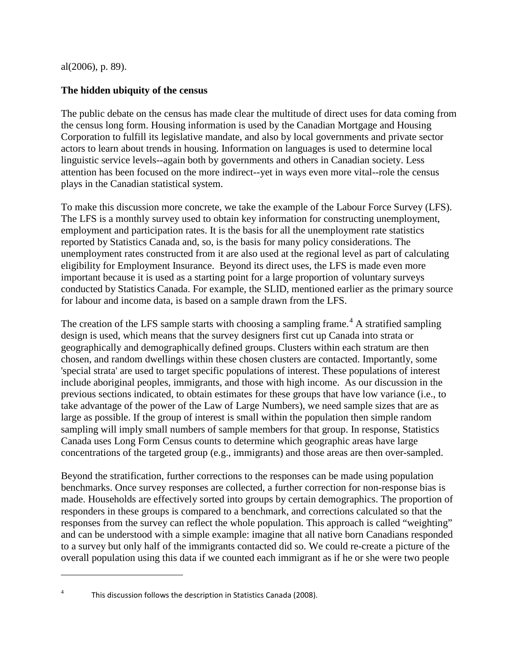al(2006), p. 89).

<span id="page-3-0"></span>l

## **The hidden ubiquity of the census**

The public debate on the census has made clear the multitude of direct uses for data coming from the census long form. Housing information is used by the Canadian Mortgage and Housing Corporation to fulfill its legislative mandate, and also by local governments and private sector actors to learn about trends in housing. Information on languages is used to determine local linguistic service levels--again both by governments and others in Canadian society. Less attention has been focused on the more indirect--yet in ways even more vital--role the census plays in the Canadian statistical system.

To make this discussion more concrete, we take the example of the Labour Force Survey (LFS). The LFS is a monthly survey used to obtain key information for constructing unemployment, employment and participation rates. It is the basis for all the unemployment rate statistics reported by Statistics Canada and, so, is the basis for many policy considerations. The unemployment rates constructed from it are also used at the regional level as part of calculating eligibility for Employment Insurance. Beyond its direct uses, the LFS is made even more important because it is used as a starting point for a large proportion of voluntary surveys conducted by Statistics Canada. For example, the SLID, mentioned earlier as the primary source for labour and income data, is based on a sample drawn from the LFS.

The creation of the LFS sample starts with choosing a sampling frame.<sup>[4](#page-3-0)</sup> A stratified sampling design is used, which means that the survey designers first cut up Canada into strata or geographically and demographically defined groups. Clusters within each stratum are then chosen, and random dwellings within these chosen clusters are contacted. Importantly, some 'special strata' are used to target specific populations of interest. These populations of interest include aboriginal peoples, immigrants, and those with high income. As our discussion in the previous sections indicated, to obtain estimates for these groups that have low variance (i.e., to take advantage of the power of the Law of Large Numbers), we need sample sizes that are as large as possible. If the group of interest is small within the population then simple random sampling will imply small numbers of sample members for that group. In response, Statistics Canada uses Long Form Census counts to determine which geographic areas have large concentrations of the targeted group (e.g., immigrants) and those areas are then over-sampled.

Beyond the stratification, further corrections to the responses can be made using population benchmarks. Once survey responses are collected, a further correction for non-response bias is made. Households are effectively sorted into groups by certain demographics. The proportion of responders in these groups is compared to a benchmark, and corrections calculated so that the responses from the survey can reflect the whole population. This approach is called "weighting" and can be understood with a simple example: imagine that all native born Canadians responded to a survey but only half of the immigrants contacted did so. We could re-create a picture of the overall population using this data if we counted each immigrant as if he or she were two people

This discussion follows the description in Statistics Canada (2008).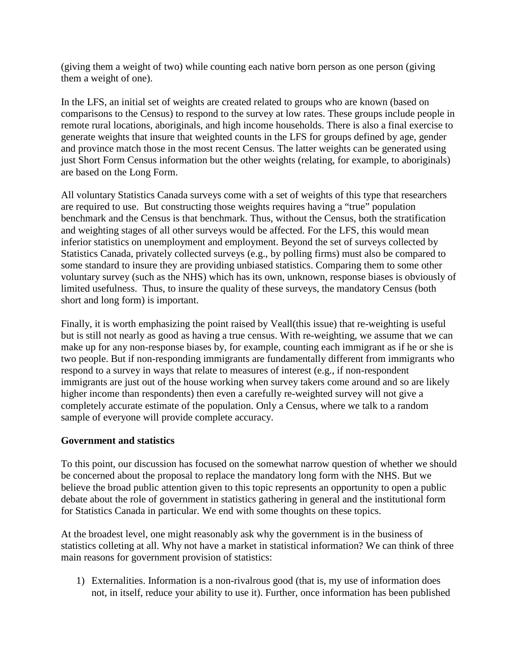(giving them a weight of two) while counting each native born person as one person (giving them a weight of one).

In the LFS, an initial set of weights are created related to groups who are known (based on comparisons to the Census) to respond to the survey at low rates. These groups include people in remote rural locations, aboriginals, and high income households. There is also a final exercise to generate weights that insure that weighted counts in the LFS for groups defined by age, gender and province match those in the most recent Census. The latter weights can be generated using just Short Form Census information but the other weights (relating, for example, to aboriginals) are based on the Long Form.

All voluntary Statistics Canada surveys come with a set of weights of this type that researchers are required to use. But constructing those weights requires having a "true" population benchmark and the Census is that benchmark. Thus, without the Census, both the stratification and weighting stages of all other surveys would be affected. For the LFS, this would mean inferior statistics on unemployment and employment. Beyond the set of surveys collected by Statistics Canada, privately collected surveys (e.g., by polling firms) must also be compared to some standard to insure they are providing unbiased statistics. Comparing them to some other voluntary survey (such as the NHS) which has its own, unknown, response biases is obviously of limited usefulness. Thus, to insure the quality of these surveys, the mandatory Census (both short and long form) is important.

Finally, it is worth emphasizing the point raised by Veall(this issue) that re-weighting is useful but is still not nearly as good as having a true census. With re-weighting, we assume that we can make up for any non-response biases by, for example, counting each immigrant as if he or she is two people. But if non-responding immigrants are fundamentally different from immigrants who respond to a survey in ways that relate to measures of interest (e.g., if non-respondent immigrants are just out of the house working when survey takers come around and so are likely higher income than respondents) then even a carefully re-weighted survey will not give a completely accurate estimate of the population. Only a Census, where we talk to a random sample of everyone will provide complete accuracy.

# **Government and statistics**

To this point, our discussion has focused on the somewhat narrow question of whether we should be concerned about the proposal to replace the mandatory long form with the NHS. But we believe the broad public attention given to this topic represents an opportunity to open a public debate about the role of government in statistics gathering in general and the institutional form for Statistics Canada in particular. We end with some thoughts on these topics.

At the broadest level, one might reasonably ask why the government is in the business of statistics colleting at all. Why not have a market in statistical information? We can think of three main reasons for government provision of statistics:

1) Externalities. Information is a non-rivalrous good (that is, my use of information does not, in itself, reduce your ability to use it). Further, once information has been published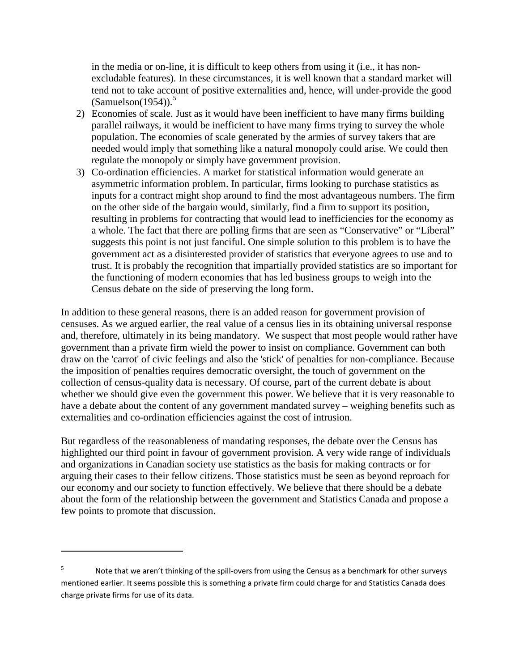in the media or on-line, it is difficult to keep others from using it (i.e., it has nonexcludable features). In these circumstances, it is well known that a standard market will tend not to take account of positive externalities and, hence, will under-provide the good  $(Samuelson(1954))$  $(Samuelson(1954))$  $(Samuelson(1954))$ .<sup>5</sup>

- 2) Economies of scale. Just as it would have been inefficient to have many firms building parallel railways, it would be inefficient to have many firms trying to survey the whole population. The economies of scale generated by the armies of survey takers that are needed would imply that something like a natural monopoly could arise. We could then regulate the monopoly or simply have government provision.
- 3) Co-ordination efficiencies. A market for statistical information would generate an asymmetric information problem. In particular, firms looking to purchase statistics as inputs for a contract might shop around to find the most advantageous numbers. The firm on the other side of the bargain would, similarly, find a firm to support its position, resulting in problems for contracting that would lead to inefficiencies for the economy as a whole. The fact that there are polling firms that are seen as "Conservative" or "Liberal" suggests this point is not just fanciful. One simple solution to this problem is to have the government act as a disinterested provider of statistics that everyone agrees to use and to trust. It is probably the recognition that impartially provided statistics are so important for the functioning of modern economies that has led business groups to weigh into the Census debate on the side of preserving the long form.

In addition to these general reasons, there is an added reason for government provision of censuses. As we argued earlier, the real value of a census lies in its obtaining universal response and, therefore, ultimately in its being mandatory. We suspect that most people would rather have government than a private firm wield the power to insist on compliance. Government can both draw on the 'carrot' of civic feelings and also the 'stick' of penalties for non-compliance. Because the imposition of penalties requires democratic oversight, the touch of government on the collection of census-quality data is necessary. Of course, part of the current debate is about whether we should give even the government this power. We believe that it is very reasonable to have a debate about the content of any government mandated survey – weighing benefits such as externalities and co-ordination efficiencies against the cost of intrusion.

But regardless of the reasonableness of mandating responses, the debate over the Census has highlighted our third point in favour of government provision. A very wide range of individuals and organizations in Canadian society use statistics as the basis for making contracts or for arguing their cases to their fellow citizens. Those statistics must be seen as beyond reproach for our economy and our society to function effectively. We believe that there should be a debate about the form of the relationship between the government and Statistics Canada and propose a few points to promote that discussion.

ı

<span id="page-5-0"></span><sup>&</sup>lt;sup>5</sup> Note that we aren't thinking of the spill-overs from using the Census as a benchmark for other surveys mentioned earlier. It seems possible this is something a private firm could charge for and Statistics Canada does charge private firms for use of its data.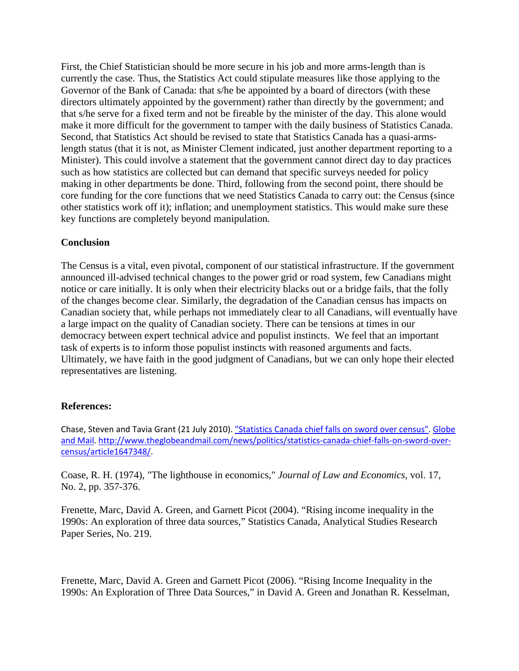First, the Chief Statistician should be more secure in his job and more arms-length than is currently the case. Thus, the Statistics Act could stipulate measures like those applying to the Governor of the Bank of Canada: that s/he be appointed by a board of directors (with these directors ultimately appointed by the government) rather than directly by the government; and that s/he serve for a fixed term and not be fireable by the minister of the day. This alone would make it more difficult for the government to tamper with the daily business of Statistics Canada. Second, that Statistics Act should be revised to state that Statistics Canada has a quasi-armslength status (that it is not, as Minister Clement indicated, just another department reporting to a Minister). This could involve a statement that the government cannot direct day to day practices such as how statistics are collected but can demand that specific surveys needed for policy making in other departments be done. Third, following from the second point, there should be core funding for the core functions that we need Statistics Canada to carry out: the Census (since other statistics work off it); inflation; and unemployment statistics. This would make sure these key functions are completely beyond manipulation.

### **Conclusion**

The Census is a vital, even pivotal, component of our statistical infrastructure. If the government announced ill-advised technical changes to the power grid or road system, few Canadians might notice or care initially. It is only when their electricity blacks out or a bridge fails, that the folly of the changes become clear. Similarly, the degradation of the Canadian census has impacts on Canadian society that, while perhaps not immediately clear to all Canadians, will eventually have a large impact on the quality of Canadian society. There can be tensions at times in our democracy between expert technical advice and populist instincts. We feel that an important task of experts is to inform those populist instincts with reasoned arguments and facts. Ultimately, we have faith in the good judgment of Canadians, but we can only hope their elected representatives are listening.

# **References:**

Chase, Steven and Tavia Grant (21 July 2010). ["Statistics Canada chief falls on sword over census".](http://www.theglobeandmail.com/news/politics/statistics-canada-chief-falls-on-sword-over-census/article1647348/) [Globe](http://en.wikipedia.org/wiki/Globe_and_Mail)  [and Mail.](http://en.wikipedia.org/wiki/Globe_and_Mail) [http://www.theglobeandmail.com/news/politics/statistics-canada-chief-falls-on-sword-over](http://www.theglobeandmail.com/news/politics/statistics-canada-chief-falls-on-sword-over-census/article1647348/)[census/article1647348/.](http://www.theglobeandmail.com/news/politics/statistics-canada-chief-falls-on-sword-over-census/article1647348/)

Coase, R. H. (1974), "The lighthouse in economics," *Journal of Law and Economics*, vol. 17, No. 2, pp. 357-376.

Frenette, Marc, David A. Green, and Garnett Picot (2004). "Rising income inequality in the 1990s: An exploration of three data sources," Statistics Canada, Analytical Studies Research Paper Series, No. 219.

Frenette, Marc, David A. Green and Garnett Picot (2006). "Rising Income Inequality in the 1990s: An Exploration of Three Data Sources," in David A. Green and Jonathan R. Kesselman,